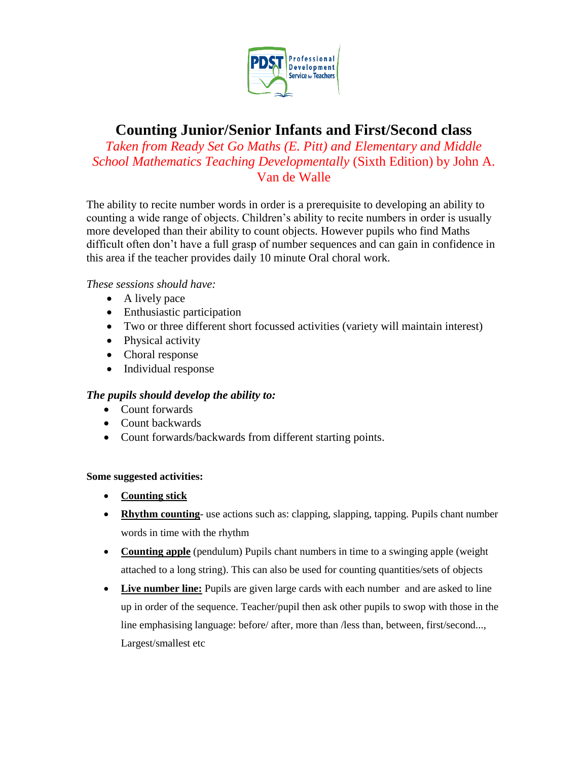

## **Counting Junior/Senior Infants and First/Second class**

*Taken from Ready Set Go Maths (E. Pitt) and Elementary and Middle School Mathematics Teaching Developmentally* (Sixth Edition) by John A. Van de Walle

The ability to recite number words in order is a prerequisite to developing an ability to counting a wide range of objects. Children's ability to recite numbers in order is usually more developed than their ability to count objects. However pupils who find Maths difficult often don't have a full grasp of number sequences and can gain in confidence in this area if the teacher provides daily 10 minute Oral choral work.

## *These sessions should have:*

- A lively pace
- Enthusiastic participation
- Two or three different short focussed activities (variety will maintain interest)
- Physical activity
- Choral response
- Individual response

## *The pupils should develop the ability to:*

- Count forwards
- Count backwards
- Count forwards/backwards from different starting points.

## **Some suggested activities:**

- **Counting stick**
- **Rhythm counting** use actions such as: clapping, slapping, tapping. Pupils chant number words in time with the rhythm
- **Counting apple** (pendulum) Pupils chant numbers in time to a swinging apple (weight attached to a long string). This can also be used for counting quantities/sets of objects
- Live number line: Pupils are given large cards with each number and are asked to line up in order of the sequence. Teacher/pupil then ask other pupils to swop with those in the line emphasising language: before/ after, more than /less than, between, first/second..., Largest/smallest etc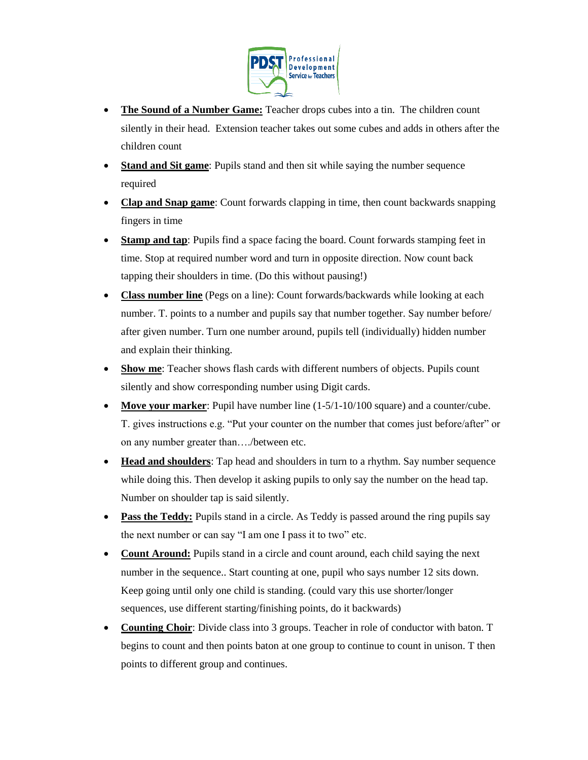

- **The Sound of a Number Game:** Teacher drops cubes into a tin. The children count silently in their head. Extension teacher takes out some cubes and adds in others after the children count
- **Stand and Sit game**: Pupils stand and then sit while saying the number sequence required
- **Clap and Snap game**: Count forwards clapping in time, then count backwards snapping fingers in time
- **Stamp and tap**: Pupils find a space facing the board. Count forwards stamping feet in time. Stop at required number word and turn in opposite direction. Now count back tapping their shoulders in time. (Do this without pausing!)
- **Class number line** (Pegs on a line): Count forwards/backwards while looking at each number. T. points to a number and pupils say that number together. Say number before/ after given number. Turn one number around, pupils tell (individually) hidden number and explain their thinking.
- **Show me**: Teacher shows flash cards with different numbers of objects. Pupils count silently and show corresponding number using Digit cards.
- **Move your marker**: Pupil have number line  $(1-5/1-10/100)$  square) and a counter/cube. T. gives instructions e.g. "Put your counter on the number that comes just before/after" or on any number greater than…./between etc.
- **Head and shoulders**: Tap head and shoulders in turn to a rhythm. Say number sequence while doing this. Then develop it asking pupils to only say the number on the head tap. Number on shoulder tap is said silently.
- Pass the Teddy: Pupils stand in a circle. As Teddy is passed around the ring pupils say the next number or can say "I am one I pass it to two" etc.
- **Count Around:** Pupils stand in a circle and count around, each child saying the next number in the sequence.. Start counting at one, pupil who says number 12 sits down. Keep going until only one child is standing. (could vary this use shorter/longer sequences, use different starting/finishing points, do it backwards)
- **Counting Choir**: Divide class into 3 groups. Teacher in role of conductor with baton. T begins to count and then points baton at one group to continue to count in unison. T then points to different group and continues.